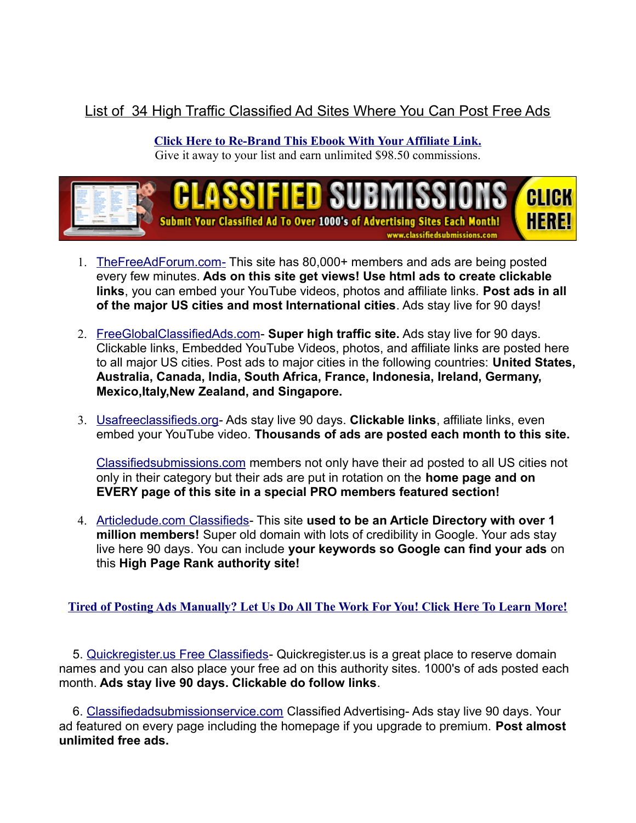## List of 34 High Traffic Classified Ad Sites Where You Can Post Free Ads

**[Click Here to Re-Brand This Ebook With Your Affiliate Link.](https://www.classifiedsubmissions.com/freeebook2)**

Give it away to your list and earn unlimited \$98.50 commissions.



- 1. [TheFreeAdForum.com-](http://www.thefreeadforum.com/) This site has 80,000+ members and ads are being posted every few minutes. **Ads on this site get views! Use html ads to create clickable links**, you can embed your YouTube videos, photos and affiliate links. **Post ads in all of the major US cities and most International cities**. Ads stay live for 90 days!
- 2. [FreeGlobalClassifiedAds.com-](http://www.freeglobalclassifiedads.com/) **Super high traffic site.** Ads stay live for 90 days. Clickable links, Embedded YouTube Videos, photos, and affiliate links are posted here to all major US cities. Post ads to major cities in the following countries: **United States, Australia, Canada, India, South Africa, France, Indonesia, Ireland, Germany, Mexico,Italy,New Zealand, and Singapore.**
- 3. [Usafreeclassifieds.org-](http://www.usafreeclassifieds.org/) Ads stay live 90 days. **Clickable links**, affiliate links, even embed your YouTube video. **Thousands of ads are posted each month to this site.**

[Classifiedsubmissions.com](https://www.classifiedsubmissions.com/a/aff/go/LeRoyMoco) members not only have their ad posted to all US cities not only in their category but their ads are put in rotation on the **home page and on EVERY page of this site in a special PRO members featured section!**

4. [Articledude.com Classifieds-](http://www.articledude.com/classifieds) This site **used to be an Article Directory with over 1 million members!** Super old domain with lots of credibility in Google. Your ads stay live here 90 days. You can include **your keywords so Google can find your ads** on this **High Page Rank authority site!**

**[Tired of Posting Ads Manually? Let Us Do All The Work For You! Click Here To Learn More!](https://www.classifiedsubmissions.com/a/aff/go/LeRoyMoco)**

 5. [Quickregister.us Free Classifieds-](http://quickregister.us/classifieds) Quickregister.us is a great place to reserve domain names and you can also place your free ad on this authority sites. 1000's of ads posted each month. **Ads stay live 90 days. Clickable do follow links**.

 6. [Classifiedadsubmissionservice.com](http://www.classifiedadsubmissionservice.com/classifieds/) Classified Advertising- Ads stay live 90 days. Your ad featured on every page including the homepage if you upgrade to premium. **Post almost unlimited free ads.**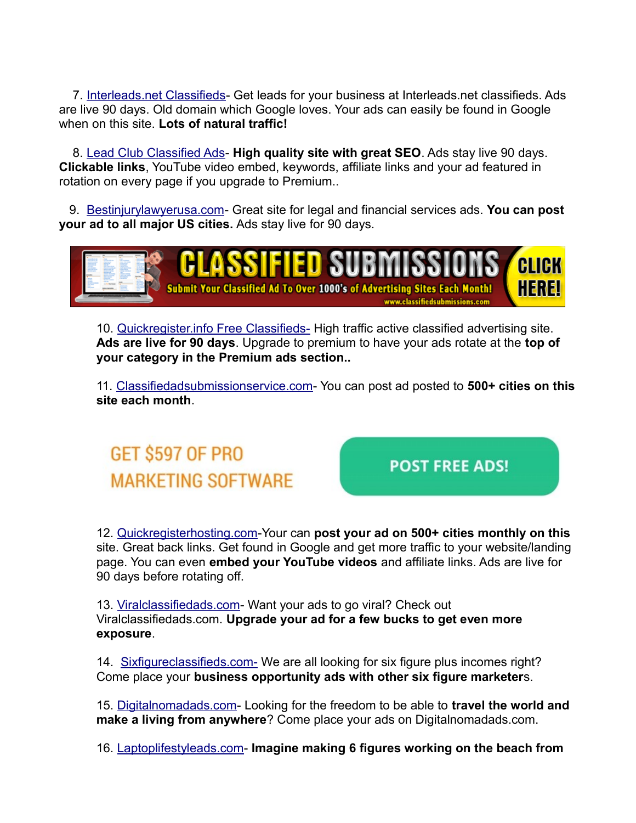7. [Interleads.net Classifieds-](http://www.interleads.net/classifieds) Get leads for your business at Interleads.net classifieds. Ads are live 90 days. Old domain which Google loves. Your ads can easily be found in Google when on this site. **Lots of natural traffic!**

 8. [Lead Club Classified Ads-](http://www.leadclub.net/classifieds) **High quality site with great SEO**. Ads stay live 90 days. **Clickable links**, YouTube video embed, keywords, affiliate links and your ad featured in rotation on every page if you upgrade to Premium..

 9. [Bestinjurylawyerusa.com-](http://www.bestinjurylawyerusa.com/) Great site for legal and financial services ads. **You can post your ad to all major US cities.** Ads stay live for 90 days.



10. [Quickregister.info Free Classifieds-](http://www.quickregister.info/classifieds/) High traffic active classified advertising site. **Ads are live for 90 days**. Upgrade to premium to have your ads rotate at the **top of your category in the Premium ads section..**

11. [Classifiedadsubmissionservice.com-](http://www.classifiedadsubmissionservice.com/classifieds/) You can post ad posted to **500+ cities on this site each month**.

GET \$597 OF PRO **MARKETING SOFTWARE** 

**POST FREE ADS!** 

12. [Quickregisterhosting.com-](http://www.quickregisterhosting.com/classifieds/)Your can **post your ad on 500+ cities monthly on this** site. Great back links. Get found in Google and get more traffic to your website/landing page. You can even **embed your YouTube videos** and affiliate links. Ads are live for 90 days before rotating off.

13. [Viralclassifiedads.com-](http://www.viralclassifiedads.com/) Want your ads to go viral? Check out Viralclassifiedads.com. **Upgrade your ad for a few bucks to get even more exposure**.

14. [Sixfigureclassifieds.com-](http://www.sixfigureclassifieds.com/) We are all looking for six figure plus incomes right? Come place your **business opportunity ads with other six figure marketer**s.

15. [Digitalnomadads.com-](http://www.digitalnomadads.com/) Looking for the freedom to be able to **travel the world and make a living from anywhere**? Come place your ads on Digitalnomadads.com.

16. [Laptoplifestyleads.com-](http://www.laptoplifestyleads.com/) **Imagine making 6 figures working on the beach from**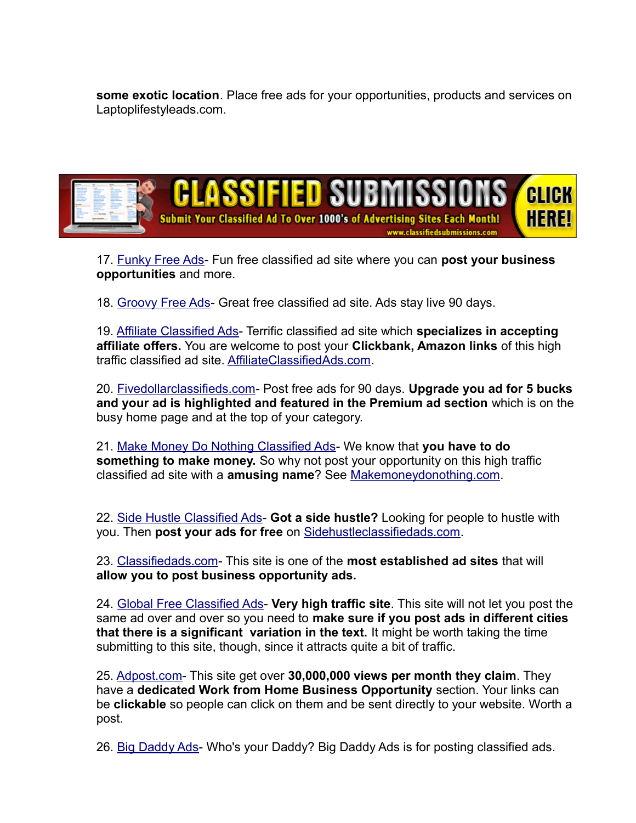**some exotic location**. Place free ads for your opportunities, products and services on Laptoplifestyleads.com.



17. [Funky Free Ads-](http://www.funkyfreeads.com/) Fun free classified ad site where you can **post your business opportunities** and more.

18. [Groovy Free Ads-](http://www.groovyfreeads.com/) Great free classified ad site. Ads stay live 90 days.

19. [Affiliate Classified Ads-](http://www.affiliateclassifiedads.com/) Terrific classified ad site which **specializes in accepting affiliate offers.** You are welcome to post your **Clickbank, Amazon links** of this high traffic classified ad site. [AffiliateClassifiedAds.com.](http://www.affiliateclassifiedads.com/)

20. [Fivedollarclassifieds.com-](http://fivedollarclassifieds.com/) Post free ads for 90 days. **Upgrade you ad for 5 bucks and your ad is highlighted and featured in the Premium ad section** which is on the busy home page and at the top of your category.

21. [Make Money Do Nothing Classified Ads-](http://www.makemoneydonothing.com/) We know that **you have to do something to make money.** So why not post your opportunity on this high traffic classified ad site with a **amusing name**? See [Makemoneydonothing.com.](http://www.makemoneydonothing.com/)

22. [Side Hustle Classified Ads-](http://www.sidehustleclassifiedads.com/) **Got a side hustle?** Looking for people to hustle with you. Then **post your ads for free** on [Sidehustleclassifiedads.com.](http://www.sidehutleclassifiedads.com/)

23. [Classifiedads.com-](http://www.classifiedads.com/) This site is one of the **most established ad sites** that will **allow you to post business opportunity ads.**

24. [Global Free Classified Ads-](https://www.global-free-classified-ads.com/) **Very high traffic site**. This site will not let you post the same ad over and over so you need to **make sure if you post ads in different cities that there is a significant variation in the text.** It might be worth taking the time submitting to this site, though, since it attracts quite a bit of traffic.

25. [Adpost.com-](https://www.adpost.com/) This site get over **30,000,000 views per month they claim**. They have a **dedicated Work from Home Business Opportunity** section. Your links can be **clickable** so people can click on them and be sent directly to your website. Worth a post.

26. [Big Daddy Ads-](http://www.bigdaddyads.com/) Who's your Daddy? Big Daddy Ads is for posting classified ads.